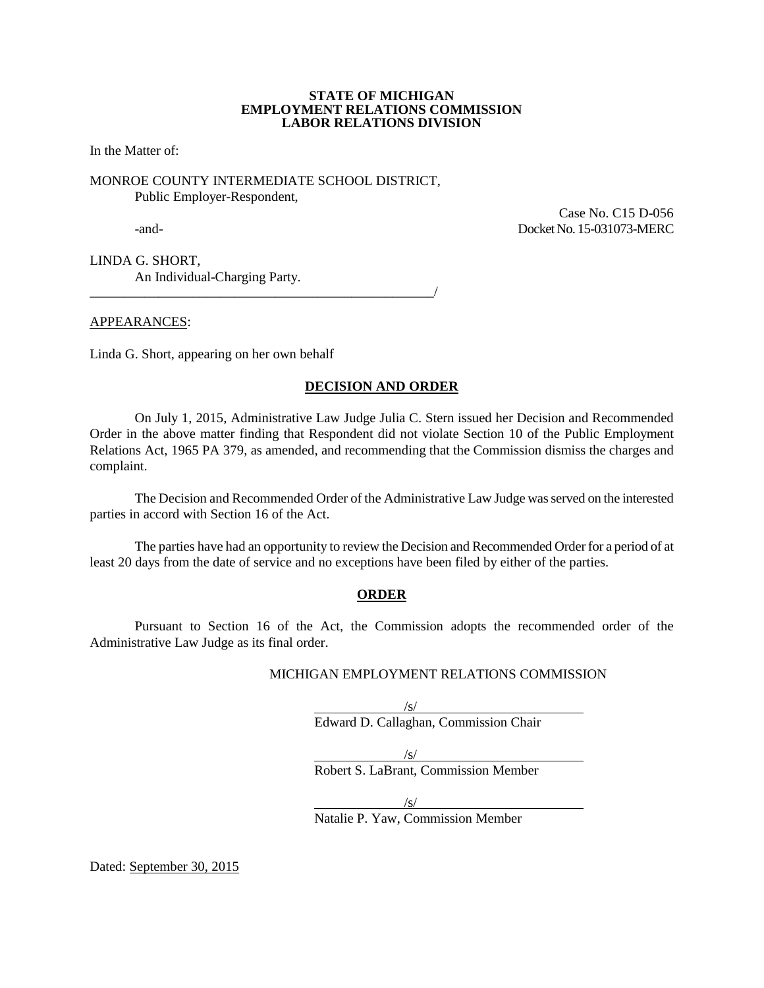#### **STATE OF MICHIGAN EMPLOYMENT RELATIONS COMMISSION LABOR RELATIONS DIVISION**

In the Matter of:

#### MONROE COUNTY INTERMEDIATE SCHOOL DISTRICT, Public Employer-Respondent,

APPEARANCES:

 Case No. C15 D-056 -and- Docket No. 15-031073-MERC

LINDA G. SHORT, An Individual-Charging Party.

\_\_\_\_\_\_\_\_\_\_\_\_\_\_\_\_\_\_\_\_\_\_\_\_\_\_\_\_\_\_\_\_\_\_\_\_\_\_\_\_\_\_\_\_\_\_\_\_\_\_/

Linda G. Short, appearing on her own behalf

### **DECISION AND ORDER**

On July 1, 2015, Administrative Law Judge Julia C. Stern issued her Decision and Recommended Order in the above matter finding that Respondent did not violate Section 10 of the Public Employment Relations Act, 1965 PA 379, as amended, and recommending that the Commission dismiss the charges and complaint.

The Decision and Recommended Order of the Administrative Law Judge was served on the interested parties in accord with Section 16 of the Act.

The parties have had an opportunity to review the Decision and Recommended Order for a period of at least 20 days from the date of service and no exceptions have been filed by either of the parties.

### **ORDER**

Pursuant to Section 16 of the Act, the Commission adopts the recommended order of the Administrative Law Judge as its final order.

#### MICHIGAN EMPLOYMENT RELATIONS COMMISSION

 $\sqrt{s}$ / Edward D. Callaghan, Commission Chair

/s/ Robert S. LaBrant, Commission Member

 $\sqrt{s}$ / Natalie P. Yaw, Commission Member

Dated: September 30, 2015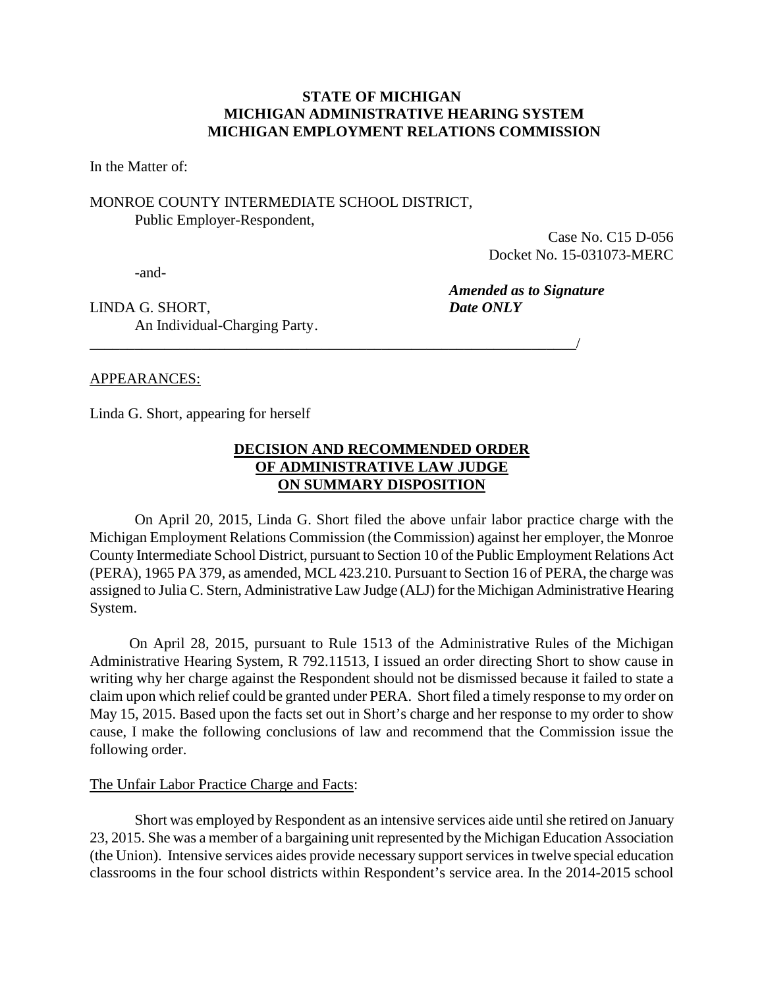## **STATE OF MICHIGAN MICHIGAN ADMINISTRATIVE HEARING SYSTEM MICHIGAN EMPLOYMENT RELATIONS COMMISSION**

In the Matter of:

## MONROE COUNTY INTERMEDIATE SCHOOL DISTRICT, Public Employer-Respondent,

Case No. C15 D-056 Docket No. 15-031073-MERC

-and-

*Amended as to Signature* 

LINDA G. SHORT, *Date ONLY* An Individual-Charging Party.

## APPEARANCES:

Linda G. Short, appearing for herself

## **DECISION AND RECOMMENDED ORDER OF ADMINISTRATIVE LAW JUDGE ON SUMMARY DISPOSITION**

\_\_\_\_\_\_\_\_\_\_\_\_\_\_\_\_\_\_\_\_\_\_\_\_\_\_\_\_\_\_\_\_\_\_\_\_\_\_\_\_\_\_\_\_\_\_\_\_\_\_\_\_\_\_\_\_\_\_\_\_\_\_\_\_\_/

On April 20, 2015, Linda G. Short filed the above unfair labor practice charge with the Michigan Employment Relations Commission (the Commission) against her employer, the Monroe County Intermediate School District, pursuant to Section 10 of the Public Employment Relations Act (PERA), 1965 PA 379, as amended, MCL 423.210. Pursuant to Section 16 of PERA, the charge was assigned to Julia C. Stern, Administrative Law Judge (ALJ) for the Michigan Administrative Hearing System.

On April 28, 2015, pursuant to Rule 1513 of the Administrative Rules of the Michigan Administrative Hearing System, R 792.11513, I issued an order directing Short to show cause in writing why her charge against the Respondent should not be dismissed because it failed to state a claim upon which relief could be granted under PERA. Short filed a timely response to my order on May 15, 2015. Based upon the facts set out in Short's charge and her response to my order to show cause, I make the following conclusions of law and recommend that the Commission issue the following order.

### The Unfair Labor Practice Charge and Facts:

Short was employed by Respondent as an intensive services aide until she retired on January 23, 2015. She was a member of a bargaining unit represented by the Michigan Education Association (the Union). Intensive services aides provide necessary support services in twelve special education classrooms in the four school districts within Respondent's service area. In the 2014-2015 school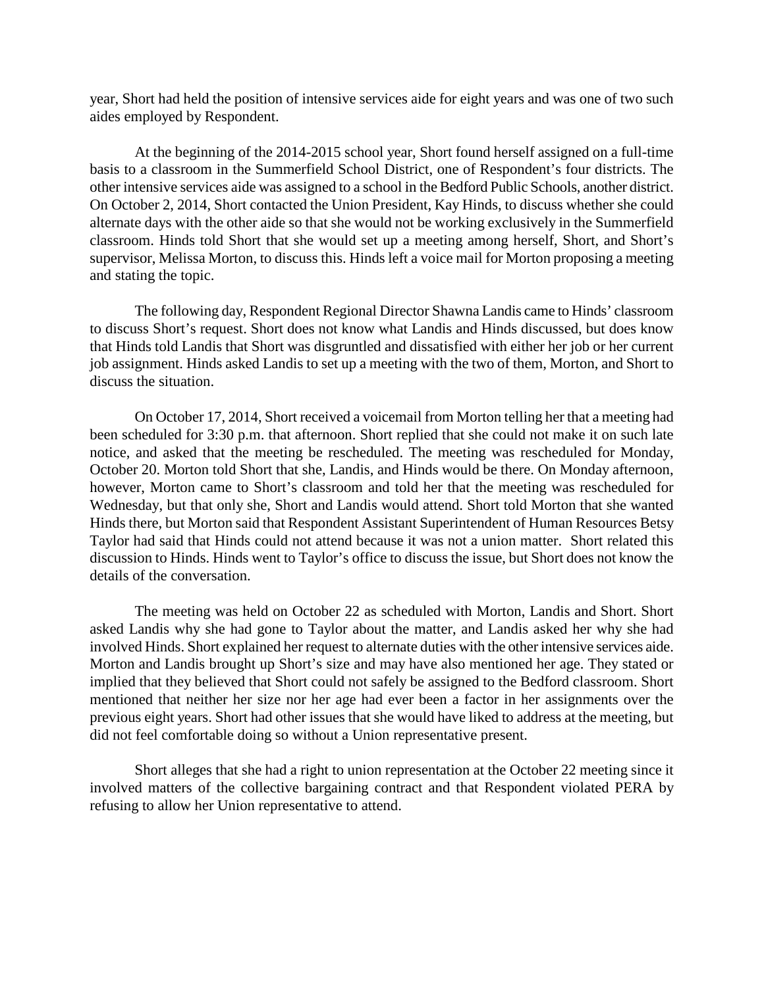year, Short had held the position of intensive services aide for eight years and was one of two such aides employed by Respondent.

At the beginning of the 2014-2015 school year, Short found herself assigned on a full-time basis to a classroom in the Summerfield School District, one of Respondent's four districts. The other intensive services aide was assigned to a school in the Bedford Public Schools, another district. On October 2, 2014, Short contacted the Union President, Kay Hinds, to discuss whether she could alternate days with the other aide so that she would not be working exclusively in the Summerfield classroom. Hinds told Short that she would set up a meeting among herself, Short, and Short's supervisor, Melissa Morton, to discuss this. Hinds left a voice mail for Morton proposing a meeting and stating the topic.

The following day, Respondent Regional Director Shawna Landis came to Hinds' classroom to discuss Short's request. Short does not know what Landis and Hinds discussed, but does know that Hinds told Landis that Short was disgruntled and dissatisfied with either her job or her current job assignment. Hinds asked Landis to set up a meeting with the two of them, Morton, and Short to discuss the situation.

On October 17, 2014, Short received a voicemail from Morton telling her that a meeting had been scheduled for 3:30 p.m. that afternoon. Short replied that she could not make it on such late notice, and asked that the meeting be rescheduled. The meeting was rescheduled for Monday, October 20. Morton told Short that she, Landis, and Hinds would be there. On Monday afternoon, however, Morton came to Short's classroom and told her that the meeting was rescheduled for Wednesday, but that only she, Short and Landis would attend. Short told Morton that she wanted Hinds there, but Morton said that Respondent Assistant Superintendent of Human Resources Betsy Taylor had said that Hinds could not attend because it was not a union matter. Short related this discussion to Hinds. Hinds went to Taylor's office to discuss the issue, but Short does not know the details of the conversation.

The meeting was held on October 22 as scheduled with Morton, Landis and Short. Short asked Landis why she had gone to Taylor about the matter, and Landis asked her why she had involved Hinds. Short explained her request to alternate duties with the other intensive services aide. Morton and Landis brought up Short's size and may have also mentioned her age. They stated or implied that they believed that Short could not safely be assigned to the Bedford classroom. Short mentioned that neither her size nor her age had ever been a factor in her assignments over the previous eight years. Short had other issues that she would have liked to address at the meeting, but did not feel comfortable doing so without a Union representative present.

Short alleges that she had a right to union representation at the October 22 meeting since it involved matters of the collective bargaining contract and that Respondent violated PERA by refusing to allow her Union representative to attend.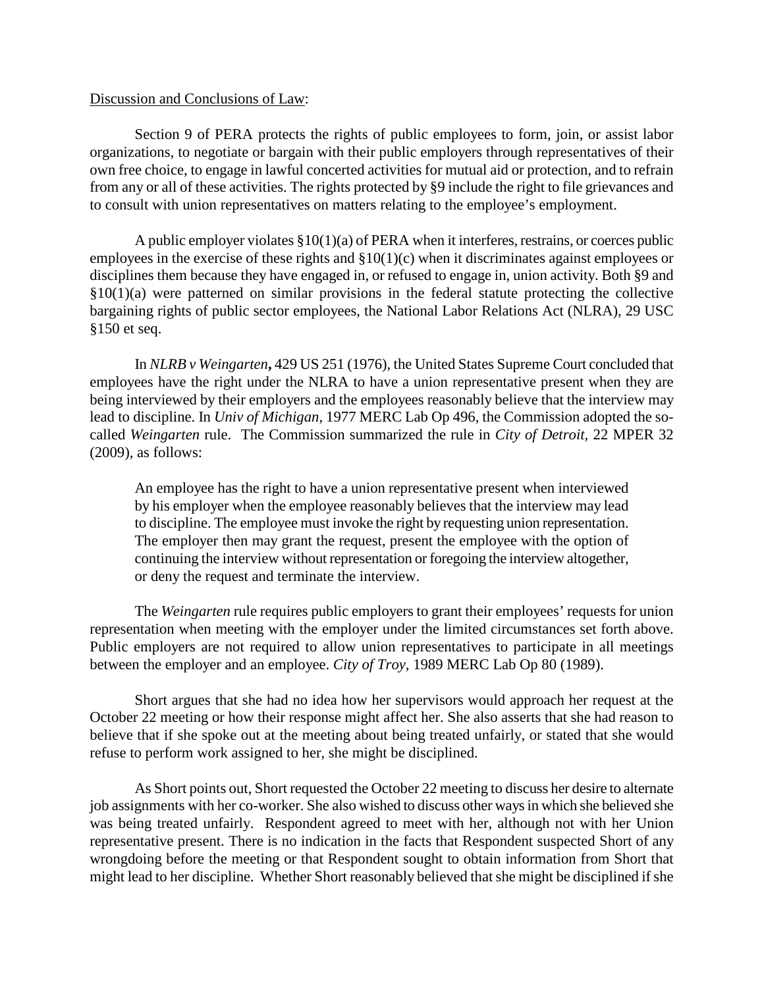### Discussion and Conclusions of Law:

Section 9 of PERA protects the rights of public employees to form, join, or assist labor organizations, to negotiate or bargain with their public employers through representatives of their own free choice, to engage in lawful concerted activities for mutual aid or protection, and to refrain from any or all of these activities. The rights protected by §9 include the right to file grievances and to consult with union representatives on matters relating to the employee's employment.

A public employer violates §10(1)(a) of PERA when it interferes, restrains, or coerces public employees in the exercise of these rights and §10(1)(c) when it discriminates against employees or disciplines them because they have engaged in, or refused to engage in, union activity. Both §9 and  $$10(1)(a)$  were patterned on similar provisions in the federal statute protecting the collective bargaining rights of public sector employees, the National Labor Relations Act (NLRA), 29 USC §150 et seq.

In *NLRB v Weingarten***,** 429 US 251 (1976), the United States Supreme Court concluded that employees have the right under the NLRA to have a union representative present when they are being interviewed by their employers and the employees reasonably believe that the interview may lead to discipline. In *Univ of Michigan*, 1977 MERC Lab Op 496, the Commission adopted the socalled *Weingarten* rule. The Commission summarized the rule in *City of Detroit,* 22 MPER 32 (2009), as follows:

An employee has the right to have a union representative present when interviewed by his employer when the employee reasonably believes that the interview may lead to discipline. The employee must invoke the right by requesting union representation. The employer then may grant the request, present the employee with the option of continuing the interview without representation or foregoing the interview altogether, or deny the request and terminate the interview.

The *Weingarten* rule requires public employers to grant their employees' requests for union representation when meeting with the employer under the limited circumstances set forth above. Public employers are not required to allow union representatives to participate in all meetings between the employer and an employee. *City of Troy,* 1989 MERC Lab Op 80 (1989).

Short argues that she had no idea how her supervisors would approach her request at the October 22 meeting or how their response might affect her. She also asserts that she had reason to believe that if she spoke out at the meeting about being treated unfairly, or stated that she would refuse to perform work assigned to her, she might be disciplined.

As Short points out, Short requested the October 22 meeting to discuss her desire to alternate job assignments with her co-worker. She also wished to discuss other ways in which she believed she was being treated unfairly. Respondent agreed to meet with her, although not with her Union representative present. There is no indication in the facts that Respondent suspected Short of any wrongdoing before the meeting or that Respondent sought to obtain information from Short that might lead to her discipline. Whether Short reasonably believed that she might be disciplined if she